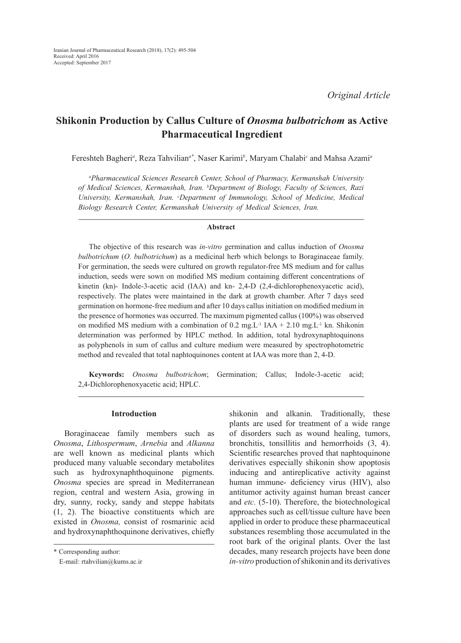# **Shikonin Production by Callus Culture of** *Onosma bulbotrichom* **as Active Pharmaceutical Ingredient**

Fereshteh Bagheri<sup>a</sup>, Reza Tahvilian<sup>a\*</sup>, Naser Karimi<sup>b</sup>, Maryam Chalabi<sup>c</sup> and Mahsa Azami<sup>a</sup>

*a Pharmaceutical Sciences Research Center, School of Pharmacy, Kermanshah University of Medical Sciences, Kermanshah, Iran. b Department of Biology, Faculty of Sciences, Razi University, Kermanshah, Iran. c Department of Immunology, School of Medicine, Medical Biology Research Center, Kermanshah University of Medical Sciences, Iran.*

#### **Abstract**

The objective of this research was *in-vitro* germination and callus induction of *Onosma bulbotrichum* (*O. bulbotrichum*) as a medicinal herb which belongs to Boraginaceae family. For germination, the seeds were cultured on growth regulator-free MS medium and for callus induction, seeds were sown on modified MS medium containing different concentrations of kinetin (kn)- Indole-3-acetic acid (IAA) and kn- 2,4-D (2,4-dichlorophenoxyacetic acid), respectively. The plates were maintained in the dark at growth chamber. After 7 days seed germination on hormone-free medium and after 10 days callus initiation on modified medium in the presence of hormones was occurred. The maximum pigmented callus (100%) was observed on modified MS medium with a combination of 0.2 mg.L<sup>-1</sup> IAA + 2.10 mg.L<sup>-1</sup> kn. Shikonin determination was performed by HPLC method. In addition, total hydroxynaphtoquinons as polyphenols in sum of callus and culture medium were measured by spectrophotometric method and revealed that total naphtoquinones content at IAA was more than 2, 4-D.

**Keywords:** *Onosma bulbotrichom*; Germination; Callus; Indole-3-acetic acid; 2,4-Dichlorophenoxyacetic acid; HPLC.

## **Introduction**

Boraginaceae family members such as *Onosma*, *Lithospermum*, *Arnebia* and *Alkanna* are well known as medicinal plants which produced many valuable secondary metabolites such as hydroxynaphthoquinone pigments. *Onosma* species are spread in Mediterranean region, central and western Asia, growing in dry, sunny, rocky, sandy and steppe habitats (1, 2). The bioactive constituents which are existed in *Onosma,* consist of rosmarinic acid and hydroxynaphthoquinone derivatives, chiefly shikonin and alkanin. Traditionally, these plants are used for treatment of a wide range of disorders such as wound healing, tumors, bronchitis, tonsillitis and hemorrhoids (3, 4). Scientific researches proved that naphtoquinone derivatives especially shikonin show apoptosis inducing and antireplicative activity against human immune- deficiency virus (HIV), also antitumor activity against human breast cancer and *etc.* (5-10). Therefore, the biotechnological approaches such as cell/tissue culture have been applied in order to produce these pharmaceutical substances resembling those accumulated in the root bark of the original plants. Over the last decades, many research projects have been done *in-vitro* production of shikonin and its derivatives

<sup>\*</sup> Corresponding author:

E-mail: rtahvilian@kums.ac.ir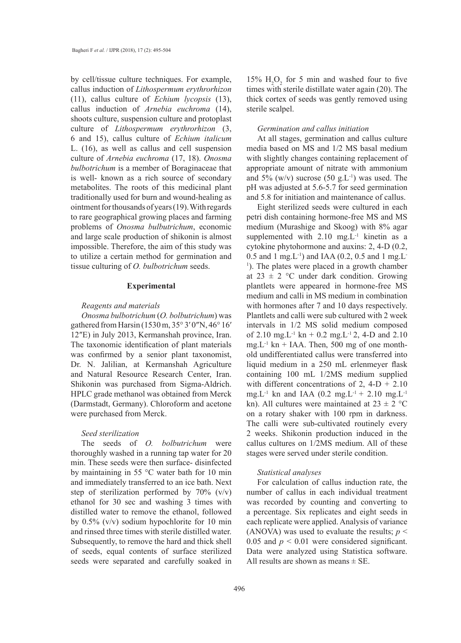by cell/tissue culture techniques. For example, callus induction of *Lithospermum erythrorhizon* (11), callus culture of *Echium lycopsis* (13), callus induction of *Arnebia euchroma* (14), shoots culture, suspension culture and protoplast culture of *Lithospermum erythrorhizon* (3, 6 and 15), callus culture of *Echium italicum* L. (16), as well as callus and cell suspension culture of *Arnebia euchroma* (17, 18). *Onosma bulbotrichum* is a member of Boraginaceae that is well- known as a rich source of secondary metabolites. The roots of this medicinal plant traditionally used for burn and wound-healing as ointment for thousands of years (19). With regards to rare geographical growing places and farming problems of *Onosma bulbutrichum*, economic and large scale production of shikonin is almost impossible. Therefore, the aim of this study was to utilize a certain method for germination and tissue culturing of *O. bulbotrichum* seeds.

## **Experimental**

#### *Reagents and materials*

*Onosma bulbotrichum* (*O. bolbutrichum*) was gathered from Harsin (1530 m, 35° 3′ 0″N, 46° 16′ 12″E) in July 2013, Kermanshah province, Iran. The taxonomic identification of plant materials was confirmed by a senior plant taxonomist, Dr. N. Jalilian, at Kermanshah Agriculture and Natural Resource Research Center, Iran. Shikonin was purchased from Sigma-Aldrich. HPLC grade methanol was obtained from Merck (Darmstadt, Germany). Chloroform and acetone were purchased from Merck.

# *Seed sterilization*

The seeds of *O. bolbutrichum* were thoroughly washed in a running tap water for 20 min. These seeds were then surface- disinfected by maintaining in 55 °C water bath for 10 min and immediately transferred to an ice bath. Next step of sterilization performed by 70% (v/v) ethanol for 30 sec and washing 3 times with distilled water to remove the ethanol, followed by 0.5% (v/v) sodium hypochlorite for 10 min and rinsed three times with sterile distilled water. Subsequently, to remove the hard and thick shell of seeds, equal contents of surface sterilized seeds were separated and carefully soaked in

15%  $H_2O_2$  for 5 min and washed four to five times with sterile distillate water again (20). The thick cortex of seeds was gently removed using sterile scalpel.

#### *Germination and callus initiation*

At all stages, germination and callus culture media based on MS and 1/2 MS basal medium with slightly changes containing replacement of appropriate amount of nitrate with ammonium and  $5\%$  (w/v) sucrose (50 g.L<sup>-1</sup>) was used. The pH was adjusted at 5.6-5.7 for seed germination and 5.8 for initiation and maintenance of callus.

Eight sterilized seeds were cultured in each petri dish containing hormone-free MS and MS medium (Murashige and Skoog) with 8% agar supplemented with  $2.10$  mg.  $L^{-1}$  kinetin as a cytokine phytohormone and auxins: 2, 4-D (0.2, 0.5 and 1 mg.L<sup>-1</sup>) and IAA (0.2, 0.5 and 1 mg.L<sup>-1</sup>) <sup>1</sup>). The plates were placed in a growth chamber at  $23 \pm 2$  °C under dark condition. Growing plantlets were appeared in hormone-free MS medium and calli in MS medium in combination with hormones after 7 and 10 days respectively. Plantlets and calli were sub cultured with 2 week intervals in 1/2 MS solid medium composed of 2.10 mg.L<sup>-1</sup> kn + 0.2 mg.L<sup>-1</sup> 2, 4-D and 2.10 mg. $L^{-1}$  kn + IAA. Then, 500 mg of one monthold undifferentiated callus were transferred into liquid medium in a 250 mL erlenmeyer flask containing 100 mL 1/2MS medium supplied with different concentrations of  $2$ ,  $4-D + 2.10$ mg.L<sup>-1</sup> kn and IAA (0.2 mg.L<sup>-1</sup> + 2.10 mg.L<sup>-1</sup> kn). All cultures were maintained at  $23 \pm 2$  °C on a rotary shaker with 100 rpm in darkness. The calli were sub-cultivated routinely every 2 weeks. Shikonin production induced in the callus cultures on 1/2MS medium. All of these stages were served under sterile condition.

## *Statistical analyses*

For calculation of callus induction rate, the number of callus in each individual treatment was recorded by counting and converting to a percentage. Six replicates and eight seeds in each replicate were applied. Analysis of variance (ANOVA) was used to evaluate the results;  $p <$ 0.05 and  $p < 0.01$  were considered significant. Data were analyzed using Statistica software. All results are shown as means  $\pm$  SE.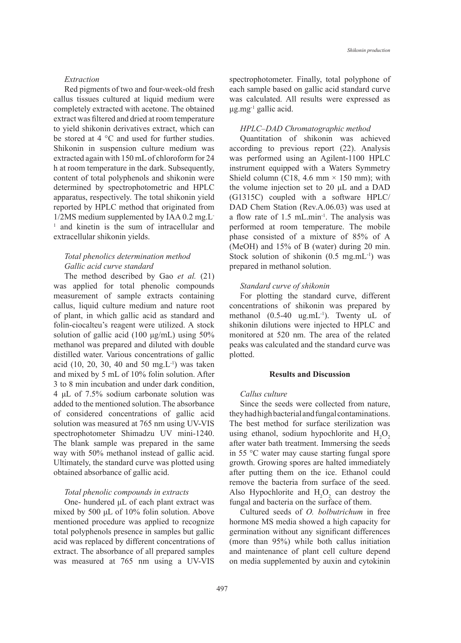#### *Extraction*

Red pigments of two and four-week-old fresh callus tissues cultured at liquid medium were completely extracted with acetone. The obtained extract was filtered and dried at room temperature to yield shikonin derivatives extract, which can be stored at 4 °C and used for further studies. Shikonin in suspension culture medium was extracted again with 150 mL of chloroform for 24 h at room temperature in the dark. Subsequently, content of total polyphenols and shikonin were determined by spectrophotometric and HPLC apparatus, respectively. The total shikonin yield reported by HPLC method that originated from 1/2MS medium supplemented by IAA 0.2 mg.L-<sup>1</sup> and kinetin is the sum of intracellular and extracellular shikonin yields.

# *Total phenolics determination method Gallic acid curve standard*

The method described by Gao *et al.* (21) was applied for total phenolic compounds measurement of sample extracts containing callus, liquid culture medium and nature root of plant, in which gallic acid as standard and folin-ciocalteu's reagent were utilized. A stock solution of gallic acid (100 μg/mL) using 50% methanol was prepared and diluted with double distilled water. Various concentrations of gallic acid  $(10, 20, 30, 40, 40, 50, mg.L^{-1})$  was taken and mixed by 5 mL of 10% folin solution. After 3 to 8 min incubation and under dark condition, 4 μL of 7.5% sodium carbonate solution was added to the mentioned solution. The absorbance of considered concentrations of gallic acid solution was measured at 765 nm using UV-VIS spectrophotometer Shimadzu UV mini-1240. The blank sample was prepared in the same way with 50% methanol instead of gallic acid. Ultimately, the standard curve was plotted using obtained absorbance of gallic acid.

## *Total phenolic compounds in extracts*

One- hundered μL of each plant extract was mixed by 500 μL of 10% folin solution. Above mentioned procedure was applied to recognize total polyphenols presence in samples but gallic acid was replaced by different concentrations of extract. The absorbance of all prepared samples was measured at 765 nm using a UV-VIS spectrophotometer. Finally, total polyphone of each sample based on gallic acid standard curve was calculated. All results were expressed as  $\mu$ g.mg<sup>-1</sup> gallic acid.

#### *HPLC–DAD Chromatographic method*

Quantitation of shikonin was achieved according to previous report (22). Analysis was performed using an Agilent-1100 HPLC instrument equipped with a Waters Symmetry Shield column (C18, 4.6 mm  $\times$  150 mm); with the volume injection set to 20 μL and a DAD (G1315C) coupled with a software HPLC/ DAD Chem Station (Rev.A.06.03) was used at a flow rate of 1.5 mL.min-1. The analysis was performed at room temperature. The mobile phase consisted of a mixture of 85% of A (MeOH) and 15% of B (water) during 20 min. Stock solution of shikonin  $(0.5 \text{ mg.mL}^{-1})$  was prepared in methanol solution.

## *Standard curve of shikonin*

For plotting the standard curve, different concentrations of shikonin was prepared by methanol  $(0.5-40 \text{ ug.mL}^{-1})$ . Twenty uL of shikonin dilutions were injected to HPLC and monitored at 520 nm. The area of the related peaks was calculated and the standard curve was plotted.

#### **Results and Discussion**

# *Callus culture*

Since the seeds were collected from nature, they had high bacterial and fungal contaminations. The best method for surface sterilization was using ethanol, sodium hypochlorite and  $H_2O_2$ after water bath treatment. Immersing the seeds in 55 °C water may cause starting fungal spore growth. Growing spores are halted immediately after putting them on the ice. Ethanol could remove the bacteria from surface of the seed. Also Hypochlorite and  $H_2O_2$  can destroy the fungal and bacteria on the surface of them.

Cultured seeds of *O. bolbutrichum* in free hormone MS media showed a high capacity for germination without any significant differences (more than 95%) while both callus initiation and maintenance of plant cell culture depend on media supplemented by auxin and cytokinin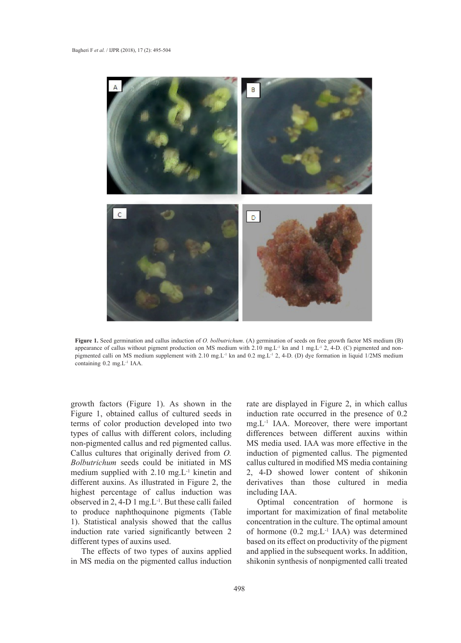

Figure 1. Seed germination and callus induction of O. bolbutrichum. (A) germination of seeds on free growth factor MS medium (B) appearance of callus without pigment production on MS medium with 2.10 mg.L<sup>-1</sup> kn and 1 mg.L<sup>-1</sup> 2, 4-D. (C) pigmented and nonpigmented calli on MS medium supplement with 2.10 mg.L<sup>-1</sup> kn and 0.2 mg.L<sup>-1</sup> 2, 4-D. (D) dye formation in liquid 1/2MS medium containing 0.2 mg.L<sup>-1</sup> IAA.  $\frac{1}{2}$  mg.L-1  $\frac{1}{2}$  mg.L-1  $\frac{1}{2}$ 

growth factors (Figure 1). As shown in the rate are disp Figure 1, obtained callus of cultured seeds in terms of color production developed into two types of callus with different colors, including non-pigmented callus and red pigmented callus. Callus cultures that originally derived from *O. Bolbutrichum* seeds could be initiated in MS medium supplied with 2.10 mg.L-1 kinetin and different auxins. As illustrated in Figure 2, the highest percentage of callus induction was observed in 2, 4-D 1 mg.L-1. But these calli failed to produce naphthoquinone pigments (Table 1). Statistical analysis showed that the callus induction rate varied significantly between 2 different types of auxins used.

The effects of two types of auxins applied in MS media on the pigmented callus induction

rate are displayed in Figure 2, in which callus induction rate occurred in the presence of 0.2 mg.L-1 IAA. Moreover, there were important differences between different auxins within MS media used. IAA was more effective in the induction of pigmented callus. The pigmented callus cultured in modified MS media containing 2, 4-D showed lower content of shikonin derivatives than those cultured in media including IAA.

Optimal concentration of hormone is important for maximization of final metabolite concentration in the culture. The optimal amount of hormone (0.2 mg.L-1 IAA) was determined based on its effect on productivity of the pigment and applied in the subsequent works. In addition, shikonin synthesis of nonpigmented calli treated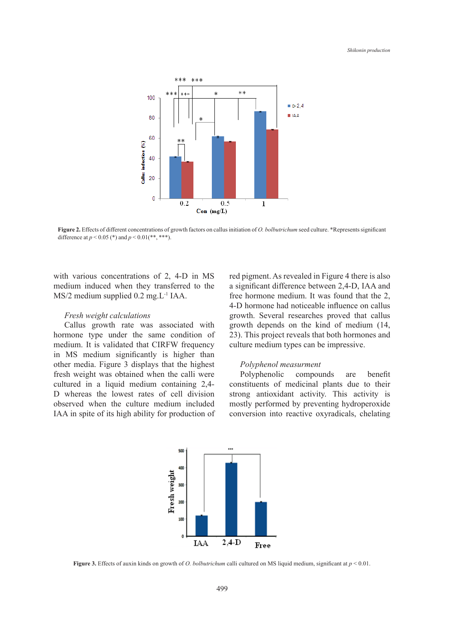

Figure 2. Effects of different concentrations of growth factors on callus initiation of O. bolbutrichum seed culture. \*Represents significant *bolbutrichum* seed culture. \*Represents significant difference at *p* < 0.05 (\*) and *p* < difference at  $p < 0.05$  (\*) and  $p < 0.01$  (\*\*, \*\*\*).

with various concentrations of 2, 4-D in MS medium induced when they transferred to the *Fresh weight calculations*  MS/2 medium supplied 0.2 mg.L-1 IAA.

# *Fresh weight calculations*

Callus growth rate was associated with hormone type under the same condition of medium. It is validated that CIRFW frequency culture medium types can be impressive. in MS medium significantly is higher than other media. Figure 3 displays that the highest *Polyphenol measurment* fresh weight was obtained when the calli were cultured in a liquid medium containing 2,4- D whereas the lowest rates of cell division observed when the culture medium included IAA in spite of its high ability for production of conversion into reactive oxyradion  $\mathcal{C}$  is in type in type in type in type  $\mathcal{C}$ 

red pigment. As revealed in Figure 4 there is also a significant difference between 2,4-D, IAA and free hormone medium. It was found that the 2, A-D hormone had noticeable influence on callus growth rate was associated with the same condition of the same condition of the same condition of the same condition of the same condition of the same condition of the same co veight calculations extends that callus growth. Several researches proved that callus growth rate was associated with growth depends on the kind of medium (14, 23). This project reveals that both hormones and culture medium types can be impressive.

# *Polyphenol measurment*

Polyphenolic compounds are benefit n a liquid medium containing 2,4- constituents of medicinal plants due to their s the lowest rates of cell division strong antioxidant activity. This activity is when the culture medium included mostly performed by preventing hydroperoxide  $\frac{1}{2}$ conversion into reactive oxyradicals, chelating



Figure 3. Effects of auxin kinds on growth of *O. bolbutrichum* calli cultured on MS liquid medium, significant at  $p < 0.01$ .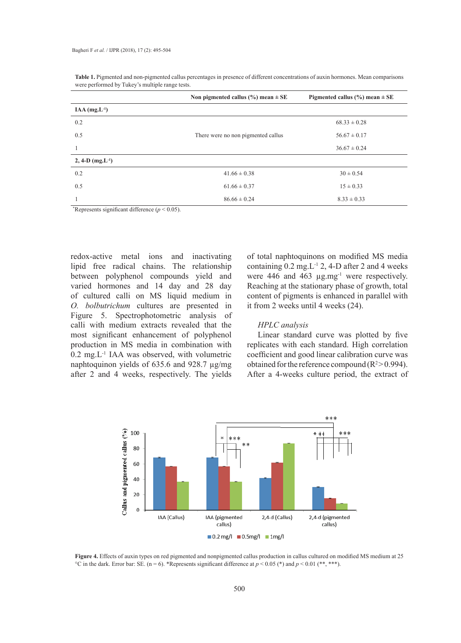|                             | Non pigmented callus $(\% )$ mean $\pm$ SE | Pigmented callus $(\% )$ mean $\pm$ SE |
|-----------------------------|--------------------------------------------|----------------------------------------|
| $IAA$ (mg.L <sup>-1</sup> ) |                                            |                                        |
| 0.2                         |                                            | $68.33 \pm 0.28$                       |
| 0.5                         | There were no non pigmented callus         | $56.67 \pm 0.17$                       |
|                             |                                            | $36.67 \pm 0.24$                       |
| 2, 4-D $(mg.L^{-1})$        |                                            |                                        |
| 0.2                         | $41.66 \pm 0.38$                           | $30 \pm 0.54$                          |
| 0.5                         | $61.66 \pm 0.37$                           | $15 \pm 0.33$                          |
|                             | $86.66 \pm 0.24$                           | $8.33 \pm 0.33$                        |

**Table 1.** Pigmented and non-pigmented callus percentages in presence of different concentrations of auxin hormones. Mean comparisons were performed by Tukey's multiple range tests.

\*Represents significant difference  $(p < 0.05)$ .

redox-active metal ions and inactivating lipid free radical chains. The relationship between polyphenol compounds yield and varied hormones and 14 day and 28 day of cultured calli on MS liquid medium in *O. bolbutrichum* cultures are presented in Figure 5. Spectrophotometric analysis of calli with medium extracts revealed that the most significant enhancement of polyphenol production in MS media in combination with  $0.2$  mg.  $L^{-1}$  IAA was observed, with volumetric naphtoquinon yields of 635.6 and 928.7 µg/mg after 2 and 4 weeks, respectively. The yields

of total naphtoquinons on modified MS media containing  $0.2 \text{ mg}$ . L<sup>-1</sup> 2, 4-D after 2 and 4 weeks were 446 and 463 µg.mg<sup>-1</sup> were respectively. Reaching at the stationary phase of growth, total content of pigments is enhanced in parallel with it from 2 weeks until 4 weeks (24).

## *HPLC analysis*

Linear standard curve was plotted by five replicates with each standard. High correlation coefficient and good linear calibration curve was obtained for the reference compound  $(R^2>0.994)$ . After a 4-weeks culture period, the extract of



Figure 4. Effects of auxin types on red pigmented and nonpigmented callus production in callus cultured on modified MS medium at 25 <sup>o</sup>C in the dark. Error bar: SE. (n = 6). \*Represents significant difference at  $p < 0.05$  (\*) and  $p < 0.01$  (\*\*, \*\*\*).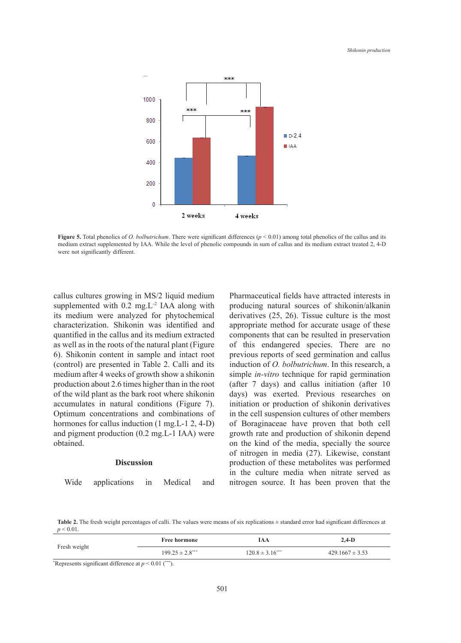

**Figure 5.** Total phenomenology of *D. bolbutrichum* and *phenomenology* (*p*  $\frac{1}{2}$   $\frac{1}{2}$   $\frac{1}{2}$   $\frac{1}{2}$   $\frac{1}{2}$   $\frac{1}{2}$   $\frac{1}{2}$   $\frac{1}{2}$   $\frac{1}{2}$   $\frac{1}{2}$   $\frac{1}{2}$   $\frac{1}{2}$   $\frac{1}{2}$   $\frac{1}{2}$   $\frac{$ **Figure 5.** Total phenolics of *O. bolbutrichum*. There were significant differences ( $p < 0.01$ ) among total phenolics of the callus and its medium extract supplemented by IAA. While the level of phenolic compounds in sum of callus and its medium extract treated 2, 4-D

callus cultures growing in MS/2 liquid medium supplemented with  $0.2$  mg. L<sup>-2</sup> IAA along with its medium were analyzed for phytochemical characterization. Shikonin was identified and *HPLC analysis* quantified in the callus and its medium extracted as well as in the roots of the natural plant (Figure 6). Shikonin content in sample and intact root (control) are presented in Table 2. Calli and its medium after 4 weeks of growth show a shikonin production about 2.6 times higher than in the root of the wild plant as the bark root where shikonin accumulates in natural conditions (Figure 7). Optimum concentrations and combinations of hormones for callus induction (1 mg.L-1 2, 4-D) and pigment production (0.2 mg.L-1 IAA) were obtained.

## **Discussion**

Wide applications in Medical and

Pharmaceutical fields have attracted interests in producing natural sources of shikonin/alkanin derivatives (25, 26). Tissue culture is the most appropriate method for accurate usage of these components that can be resulted in preservation e roots of the natural plant (Figure of this endangered species. There are no ontent in sample and intact root previous reports of seed germination and callus resented in Table 2. Calli and its induction of *O. bolbutrichum*. In this research, a simple *in-vitro* technique for rapid germination weeks of growth show a shikohin supplemented with  $m$ -*viro* elemented to Taplei germination to the supplemented with 2.6 times higher than in the root (after  $7$  days) and callus initiation (after  $10$ ) and the bark root where shikonin days) was exerted. Previous researches on 1 natural conditions (Figure 7). initiation or production of shikonin derivatives entrations and combinations of in the cell suspension cultures of other members allus induction  $(1 \text{ mg.L-1 2, 4-D})$  of Boraginaceae have proven that both cell growth rate and production of shikonin depend on the kind of the media, specially the source of nitrogen in media (27). Likewise, constant production of these metabolites was performed in the culture media when nitrate served as nitrogen source. It has been proven that the

Table 2. The fresh weight percentages of calli. The values were means of six replications  $\pm$  standard error had significant differences at  $p \le 0.01$ .

| Fresh weight | <b>Free hormone</b>  | IAA                  | $2,4-D$             |
|--------------|----------------------|----------------------|---------------------|
|              | $199.25 \pm 2.8$ *** | $120.8 \pm 3.16$ *** | $429.1667 \pm 3.53$ |
|              |                      |                      |                     |

\* Represents significant difference at *p* < 0.01 (\*\*\*).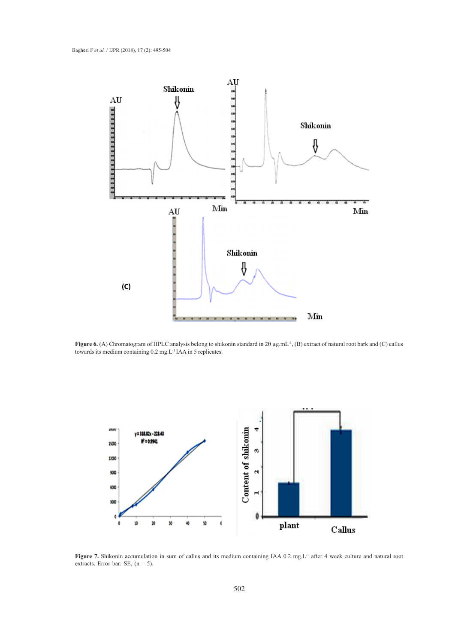

**Figure 6.** (A) Chromatogram of HPLC analysis belong to shikonin standard in 20  $\mu$ g.mL<sup>-1</sup>, (B) extract of natural root bark and (C) callus towards its medium containing 0.2 mg L<sup>-1</sup>JAA in 5 replicates towards its medium containing 0.2 mg.L<sup>-1</sup> IAA in 5 replicates.



Figure 7. Shikonin accumulation in sum of callus and its medium containing IAA 0.2 mg.L<sup>-1</sup> after 4 week culture and natural root extracts. Error bar: SE,  $(n = 5)$ .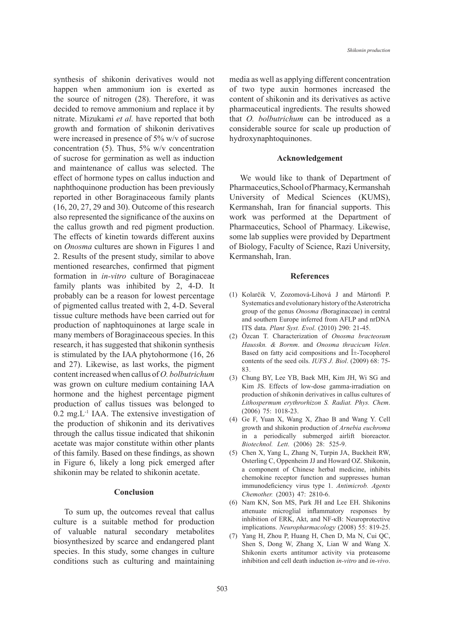synthesis of shikonin derivatives would not happen when ammonium ion is exerted as the source of nitrogen (28). Therefore, it was decided to remove ammonium and replace it by nitrate. Mizukami *et al.* have reported that both growth and formation of shikonin derivatives were increased in presence of 5% w/v of sucrose concentration (5). Thus, 5% w/v concentration of sucrose for germination as well as induction and maintenance of callus was selected. The effect of hormone types on callus induction and naphthoquinone production has been previously reported in other Boraginaceous family plants (16, 20, 27, 29 and 30). Outcome of this research also represented the significance of the auxins on the callus growth and red pigment production. The effects of kinetin towards different auxins on *Onosma* cultures are shown in Figures 1 and 2. Results of the present study, similar to above mentioned researches, confirmed that pigment formation in *in-vitro* culture of Boraginaceae family plants was inhibited by 2, 4-D. It probably can be a reason for lowest percentage of pigmented callus treated with 2, 4-D. Several tissue culture methods have been carried out for production of naphtoquinones at large scale in many members of Boraginaceous species. In this research, it has suggested that shikonin synthesis is stimulated by the IAA phytohormone (16, 26 and 27). Likewise, as last works, the pigment content increased when callus of *O. bolbutrichum*  was grown on culture medium containing IAA hormone and the highest percentage pigment production of callus tissues was belonged to  $0.2$  mg. L<sup>-1</sup> IAA. The extensive investigation of the production of shikonin and its derivatives through the callus tissue indicated that shikonin acetate was major constitute within other plants of this family. Based on these findings, as shown in Figure 6, likely a long pick emerged after shikonin may be related to shikonin acetate.

#### **Conclusion**

To sum up, the outcomes reveal that callus culture is a suitable method for production of valuable natural secondary metabolites biosynthesized by scarce and endangered plant species. In this study, some changes in culture conditions such as culturing and maintaining media as well as applying different concentration of two type auxin hormones increased the content of shikonin and its derivatives as active pharmaceutical ingredients. The results showed that *O. bolbutrichum* can be introduced as a considerable source for scale up production of hydroxynaphtoquinones.

#### **Acknowledgement**

We would like to thank of Department of Pharmaceutics, School of Pharmacy, Kermanshah University of Medical Sciences (KUMS), Kermanshah, Iran for financial supports. This work was performed at the Department of Pharmaceutics, School of Pharmacy. Likewise, some lab supplies were provided by Department of Biology, Faculty of Science, Razi University, Kermanshah, Iran.

#### **References**

- Kolarčik V, Zozomová-Lihová J and Mártonfi P. (1) Systematics and evolutionary history of the Asterotricha group of the genus *Onosma (*Boraginaceae) in central and southern Europe inferred from AFLP and nrDNA ITS data. *Plant Syst. Evol*. (2010) 290: 21-45.
- Özcan T. Characterization of *Onosma bracteosum*  (2) *Hausskn. & Bornm*. and *Onosma thracicum Velen*. Based on fatty acid compositions and  $\hat{I}$  +-Tocopherol contents of the seed oils. *IUFS J. Biol*. (2009) 68: 75- 83.
- Chung BY, Lee YB, Baek MH, Kim JH, Wi SG and (3) Kim JS. Effects of low-dose gamma-irradiation on production of shikonin derivatives in callus cultures of *Lithospermum erythrorhizon S. Radiat. Phys. Chem*. (2006) 75: 1018-23.
- Ge F, Yuan X, Wang X, Zhao B and Wang Y. Cell (4) growth and shikonin production of *Arnebia euchroma* in a periodically submerged airlift bioreactor. *Biotechnol. Lett*. (2006) 28: 525-9.
- (5) Chen X, Yang L, Zhang N, Turpin JA, Buckheit RW, Osterling C, Oppenheim JJ and Howard OZ. Shikonin, a component of Chinese herbal medicine, inhibits chemokine receptor function and suppresses human immunodeficiency virus type 1. *Antimicrob. Agents Chemother.* (2003) 47: 2810-6.
- (6) Nam KN, Son MS, Park JH and Lee EH. Shikonins attenuate microglial inflammatory responses by inhibition of ERK, Akt, and NF-κB: Neuroprotective implications. *Neuropharmacology* (2008) 55: 819-25.
- (7) Yang H, Zhou P, Huang H, Chen D, Ma N, Cui QC, Shen S, Dong W, Zhang X, Lian W and Wang X. Shikonin exerts antitumor activity via proteasome inhibition and cell death induction *in-vitro* and *in-vivo*.